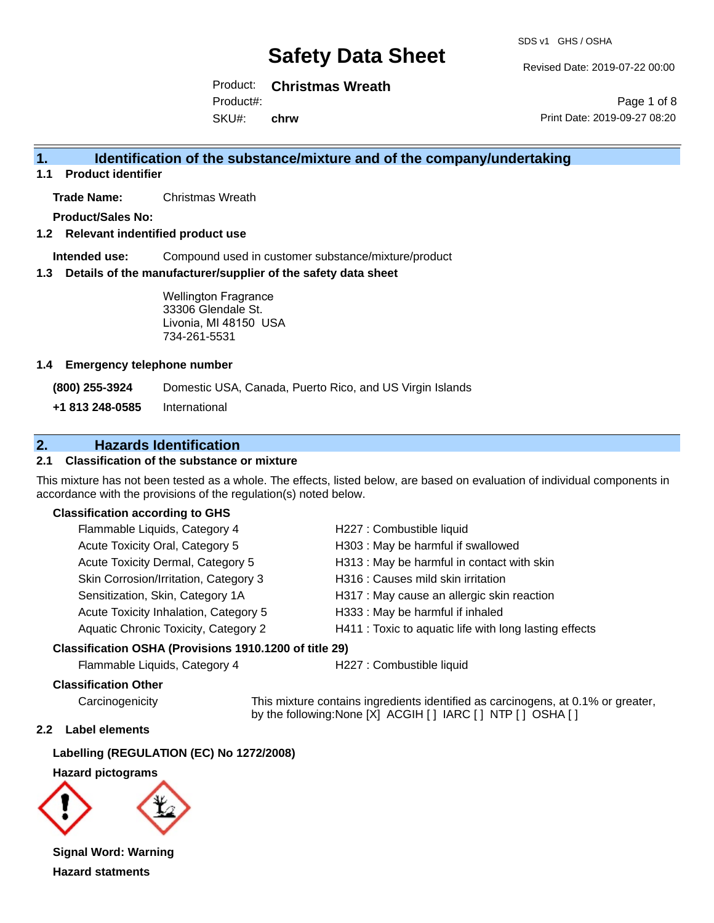Revised Date: 2019-07-22 00:00

Page 1 of 8

Product: **Christmas Wreath** Product#:

SKU#: **chrw** Print Date: 2019-09-27 08:20

### **1. Identification of the substance/mixture and of the company/undertaking**

**1.1 Product identifier**

**Trade Name:** Christmas Wreath

**Product/Sales No:**

**1.2 Relevant indentified product use**

**Intended use:** Compound used in customer substance/mixture/product

**1.3 Details of the manufacturer/supplier of the safety data sheet**

Wellington Fragrance 33306 Glendale St. Livonia, MI 48150 USA 734-261-5531

#### **1.4 Emergency telephone number**

**(800) 255-3924** Domestic USA, Canada, Puerto Rico, and US Virgin Islands

**+1 813 248-0585** International

### **2. Hazards Identification**

#### **2.1 Classification of the substance or mixture**

This mixture has not been tested as a whole. The effects, listed below, are based on evaluation of individual components in accordance with the provisions of the regulation(s) noted below.

#### **Classification according to GHS**

| Flammable Liquids, Category 4         | H227 : Combustible liquid                              |
|---------------------------------------|--------------------------------------------------------|
| Acute Toxicity Oral, Category 5       | H303 : May be harmful if swallowed                     |
| Acute Toxicity Dermal, Category 5     | H313 : May be harmful in contact with skin             |
| Skin Corrosion/Irritation, Category 3 | H316 : Causes mild skin irritation                     |
| Sensitization, Skin, Category 1A      | H317 : May cause an allergic skin reaction             |
| Acute Toxicity Inhalation, Category 5 | H333: May be harmful if inhaled                        |
| Aquatic Chronic Toxicity, Category 2  | H411 : Toxic to aquatic life with long lasting effects |
|                                       |                                                        |

#### **Classification OSHA (Provisions 1910.1200 of title 29)**

Flammable Liquids, Category 4 H227 : Combustible liquid

#### **Classification Other**

Carcinogenicity This mixture contains ingredients identified as carcinogens, at 0.1% or greater, by the following:None [X] ACGIH [ ] IARC [ ] NTP [ ] OSHA [ ]

#### **2.2 Label elements**

**Labelling (REGULATION (EC) No 1272/2008)**

**Hazard pictograms**



**Signal Word: Warning Hazard statments**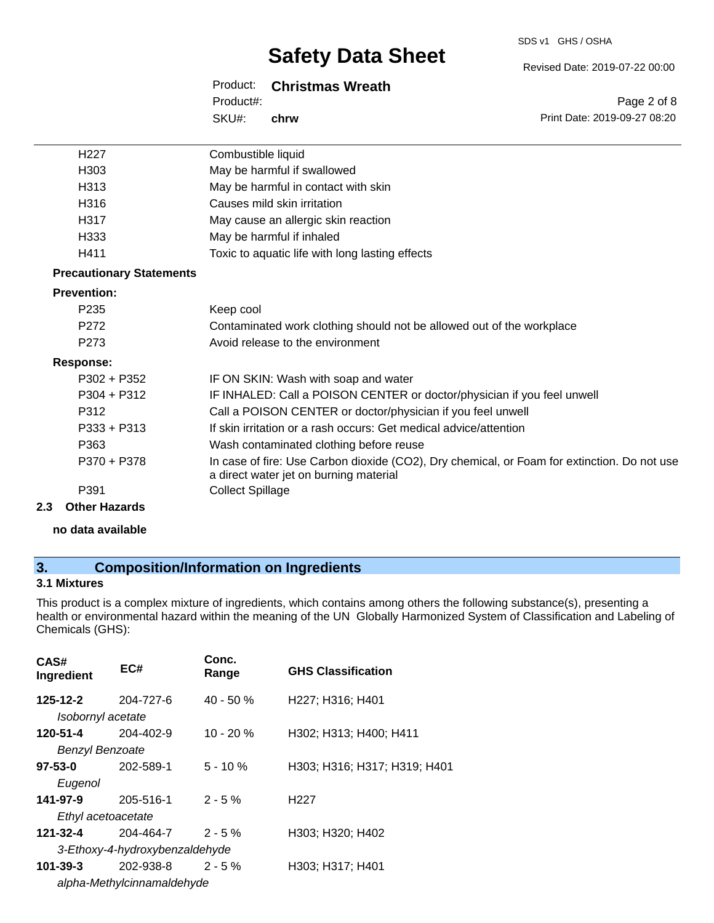#### SDS v1 GHS / OSHA

# **Safety Data Sheet**

Product: **Christmas Wreath**

SKU#: Product#: **chrw** Page 2 of 8

Revised Date: 2019-07-22 00:00

Print Date: 2019-09-27 08:20

| H <sub>227</sub>                | Combustible liquid                                                                                                                    |
|---------------------------------|---------------------------------------------------------------------------------------------------------------------------------------|
| H <sub>303</sub>                | May be harmful if swallowed                                                                                                           |
| H313                            | May be harmful in contact with skin                                                                                                   |
| H316                            | Causes mild skin irritation                                                                                                           |
| H317                            | May cause an allergic skin reaction                                                                                                   |
| H333                            | May be harmful if inhaled                                                                                                             |
| H411                            | Toxic to aquatic life with long lasting effects                                                                                       |
| <b>Precautionary Statements</b> |                                                                                                                                       |
| <b>Prevention:</b>              |                                                                                                                                       |
| P <sub>235</sub>                | Keep cool                                                                                                                             |
| P272                            | Contaminated work clothing should not be allowed out of the workplace                                                                 |
| P <sub>273</sub>                | Avoid release to the environment                                                                                                      |
| <b>Response:</b>                |                                                                                                                                       |
| $P302 + P352$                   | IF ON SKIN: Wash with soap and water                                                                                                  |
| $P304 + P312$                   | IF INHALED: Call a POISON CENTER or doctor/physician if you feel unwell                                                               |
| P312                            | Call a POISON CENTER or doctor/physician if you feel unwell                                                                           |
| $P333 + P313$                   | If skin irritation or a rash occurs: Get medical advice/attention                                                                     |
| P363                            | Wash contaminated clothing before reuse                                                                                               |
| P370 + P378                     | In case of fire: Use Carbon dioxide (CO2), Dry chemical, or Foam for extinction. Do not use<br>a direct water jet on burning material |
| P391                            | <b>Collect Spillage</b>                                                                                                               |
| 2.3<br><b>Other Hazards</b>     |                                                                                                                                       |

**no data available**

# **3. Composition/Information on Ingredients**

### **3.1 Mixtures**

This product is a complex mixture of ingredients, which contains among others the following substance(s), presenting a health or environmental hazard within the meaning of the UN Globally Harmonized System of Classification and Labeling of Chemicals (GHS):

| CAS#<br>Ingredient     | EC#                            | Conc.<br>Range | <b>GHS Classification</b>    |
|------------------------|--------------------------------|----------------|------------------------------|
| 125-12-2               | 204-727-6                      | 40 - 50 %      | H227; H316; H401             |
| Isobornyl acetate      |                                |                |                              |
| 120-51-4               | $204 - 402 - 9$                | $10 - 20%$     | H302; H313; H400; H411       |
| <b>Benzyl Benzoate</b> |                                |                |                              |
| 97-53-0                | 202-589-1                      | $5 - 10 \%$    | H303; H316; H317; H319; H401 |
| Eugenol                |                                |                |                              |
| 141-97-9               | 205-516-1                      | $2 - 5%$       | H <sub>22</sub> 7            |
| Ethyl acetoacetate     |                                |                |                              |
| 121-32-4               | 204-464-7                      | $2 - 5%$       | H303; H320; H402             |
|                        | 3-Ethoxy-4-hydroxybenzaldehyde |                |                              |
| $101 - 39 - 3$         | 202-938-8                      | $2 - 5%$       | H303; H317; H401             |
|                        | alpha-Methylcinnamaldehyde     |                |                              |
|                        |                                |                |                              |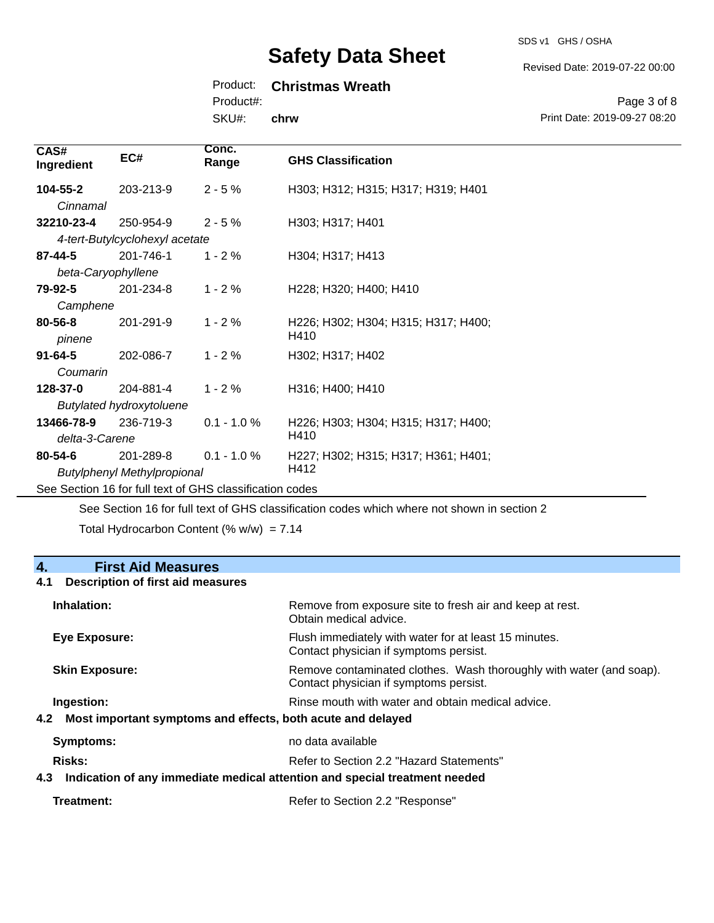SDS v1 GHS / OSHA

Revised Date: 2019-07-22 00:00

### Product: **Christmas Wreath**

Product#:

SKU#: **chrw**

Page 3 of 8 Print Date: 2019-09-27 08:20

| CAS#<br>Ingredient              | EC#                                                      | Conc.<br>Range | <b>GHS Classification</b>           |
|---------------------------------|----------------------------------------------------------|----------------|-------------------------------------|
| 104-55-2                        | 203-213-9                                                | $2 - 5%$       | H303; H312; H315; H317; H319; H401  |
| Cinnamal                        |                                                          |                |                                     |
| 32210-23-4                      | 250-954-9                                                | $2 - 5%$       | H303; H317; H401                    |
|                                 | 4-tert-Butylcyclohexyl acetate                           |                |                                     |
| $87 - 44 - 5$                   | 201-746-1                                                | $1 - 2%$       | H304; H317; H413                    |
| beta-Caryophyllene              |                                                          |                |                                     |
| 79-92-5                         | 201-234-8                                                | $1 - 2%$       | H228; H320; H400; H410              |
| Camphene                        |                                                          |                |                                     |
| 80-56-8                         | 201-291-9                                                | $1 - 2%$       | H226; H302; H304; H315; H317; H400; |
| pinene                          |                                                          |                | H410                                |
| $91 - 64 - 5$                   | 202-086-7                                                | $1 - 2%$       | H302; H317; H402                    |
| Coumarin                        |                                                          |                |                                     |
| 128-37-0                        | 204-881-4                                                | $1 - 2%$       | H316; H400; H410                    |
| <b>Butylated hydroxytoluene</b> |                                                          |                |                                     |
| 13466-78-9                      | 236-719-3                                                | $0.1 - 1.0 %$  | H226; H303; H304; H315; H317; H400; |
| delta-3-Carene                  |                                                          |                | H410                                |
| 80-54-6                         | 201-289-8                                                | $0.1 - 1.0 %$  | H227; H302; H315; H317; H361; H401; |
|                                 | <b>Butylphenyl Methylpropional</b>                       |                | H412                                |
|                                 | See Section 16 for full text of GHS classification codes |                |                                     |

See Section 16 for full text of GHS classification codes which where not shown in section 2

Total Hydrocarbon Content (%  $w/w$ ) = 7.14

### **4. First Aid Measures**

#### **4.1 Description of first aid measures**

| Inhalation:                                                                       | Remove from exposure site to fresh air and keep at rest.<br>Obtain medical advice.                            |
|-----------------------------------------------------------------------------------|---------------------------------------------------------------------------------------------------------------|
| Eye Exposure:                                                                     | Flush immediately with water for at least 15 minutes.<br>Contact physician if symptoms persist.               |
| <b>Skin Exposure:</b>                                                             | Remove contaminated clothes. Wash thoroughly with water (and soap).<br>Contact physician if symptoms persist. |
| Ingestion:                                                                        | Rinse mouth with water and obtain medical advice.                                                             |
| 4.2 Most important symptoms and effects, both acute and delayed                   |                                                                                                               |
| Symptoms:                                                                         | no data available                                                                                             |
| Risks:                                                                            | Refer to Section 2.2 "Hazard Statements"                                                                      |
| Indication of any immediate medical attention and special treatment needed<br>4.3 |                                                                                                               |
|                                                                                   |                                                                                                               |

| Refer to Section 2.2 "Response" |
|---------------------------------|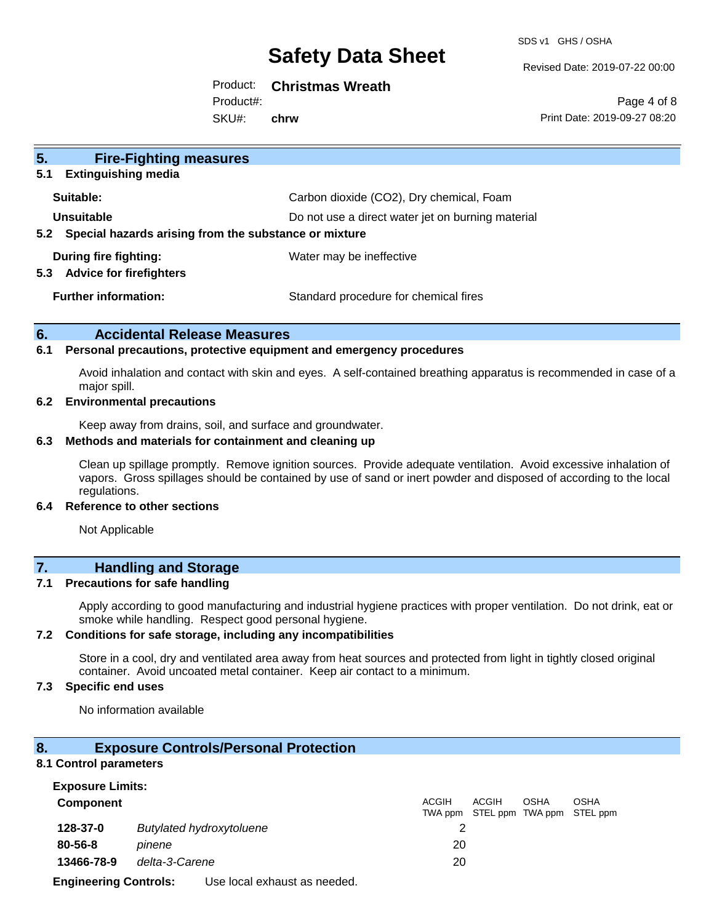SDS v1 GHS / OSHA

Revised Date: 2019-07-22 00:00

### Product: **Christmas Wreath**

Product#:

SKU#: **chrw**

Page 4 of 8 Print Date: 2019-09-27 08:20

| 5 <sub>1</sub><br><b>Fire-Fighting measures</b><br><b>Extinguishing media</b><br>5.1 |                                                   |
|--------------------------------------------------------------------------------------|---------------------------------------------------|
| Suitable:                                                                            | Carbon dioxide (CO2), Dry chemical, Foam          |
| Unsuitable<br>Special hazards arising from the substance or mixture<br>5.2           | Do not use a direct water jet on burning material |
| During fire fighting:<br><b>Advice for firefighters</b><br>5.3                       | Water may be ineffective                          |
| <b>Further information:</b>                                                          | Standard procedure for chemical fires             |

#### **6. Accidental Release Measures**

#### **6.1 Personal precautions, protective equipment and emergency procedures**

Avoid inhalation and contact with skin and eyes. A self-contained breathing apparatus is recommended in case of a major spill.

#### **6.2 Environmental precautions**

Keep away from drains, soil, and surface and groundwater.

#### **6.3 Methods and materials for containment and cleaning up**

Clean up spillage promptly. Remove ignition sources. Provide adequate ventilation. Avoid excessive inhalation of vapors. Gross spillages should be contained by use of sand or inert powder and disposed of according to the local regulations.

#### **6.4 Reference to other sections**

Not Applicable

# **7. Handling and Storage**

#### **7.1 Precautions for safe handling**

Apply according to good manufacturing and industrial hygiene practices with proper ventilation. Do not drink, eat or smoke while handling. Respect good personal hygiene.

#### **7.2 Conditions for safe storage, including any incompatibilities**

Store in a cool, dry and ventilated area away from heat sources and protected from light in tightly closed original container. Avoid uncoated metal container. Keep air contact to a minimum.

#### **7.3 Specific end uses**

No information available

#### **8. Exposure Controls/Personal Protection**

#### **8.1 Control parameters**

| <b>Exposure Limits:</b> |                                 |                         |                                    |             |             |
|-------------------------|---------------------------------|-------------------------|------------------------------------|-------------|-------------|
| <b>Component</b>        |                                 | <b>ACGIH</b><br>TWA ppm | ACGIH<br>STEL ppm TWA ppm STEL ppm | <b>OSHA</b> | <b>OSHA</b> |
| 128-37-0                | <b>Butylated hydroxytoluene</b> |                         |                                    |             |             |
| $80 - 56 - 8$           | pinene                          | 20                      |                                    |             |             |
| 13466-78-9              | delta-3-Carene                  | 20                      |                                    |             |             |
|                         |                                 |                         |                                    |             |             |

**Engineering Controls:** Use local exhaust as needed.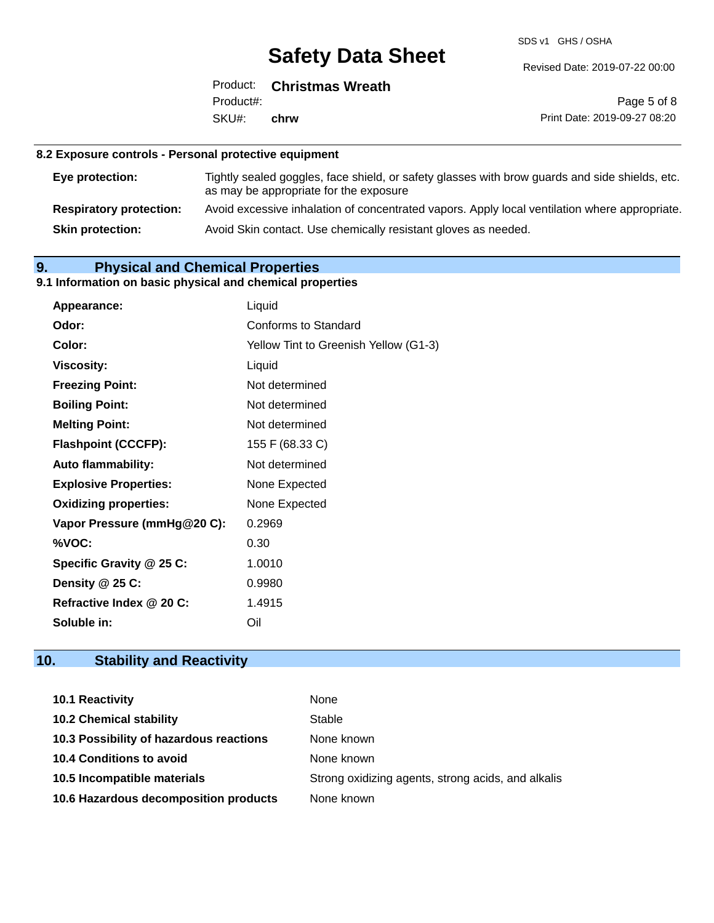SDS v1 GHS / OSHA

Revised Date: 2019-07-22 00:00

|                   | Product: Christmas Wreath |
|-------------------|---------------------------|
| Product#:         |                           |
| SKU#: <b>chrw</b> |                           |

Page 5 of 8 Print Date: 2019-09-27 08:20

#### **8.2 Exposure controls - Personal protective equipment**

| Eye protection:                | Tightly sealed goggles, face shield, or safety glasses with brow guards and side shields, etc.<br>as may be appropriate for the exposure |
|--------------------------------|------------------------------------------------------------------------------------------------------------------------------------------|
| <b>Respiratory protection:</b> | Avoid excessive inhalation of concentrated vapors. Apply local ventilation where appropriate.                                            |
| <b>Skin protection:</b>        | Avoid Skin contact. Use chemically resistant gloves as needed.                                                                           |

### **9. Physical and Chemical Properties**

### **9.1 Information on basic physical and chemical properties**

| Appearance:                  | Liquid                                |
|------------------------------|---------------------------------------|
| Odor:                        | Conforms to Standard                  |
| Color:                       | Yellow Tint to Greenish Yellow (G1-3) |
| <b>Viscosity:</b>            | Liquid                                |
| <b>Freezing Point:</b>       | Not determined                        |
| <b>Boiling Point:</b>        | Not determined                        |
| <b>Melting Point:</b>        | Not determined                        |
| <b>Flashpoint (CCCFP):</b>   | 155 F (68.33 C)                       |
| <b>Auto flammability:</b>    | Not determined                        |
| <b>Explosive Properties:</b> | None Expected                         |
| <b>Oxidizing properties:</b> | None Expected                         |
| Vapor Pressure (mmHg@20 C):  | 0.2969                                |
| %VOC:                        | 0.30                                  |
| Specific Gravity @ 25 C:     | 1.0010                                |
| Density @ 25 C:              | 0.9980                                |
| Refractive Index @ 20 C:     | 1.4915                                |
| Soluble in:                  | Oil                                   |

# **10. Stability and Reactivity**

| <b>10.1 Reactivity</b>                  | None                                               |
|-----------------------------------------|----------------------------------------------------|
| <b>10.2 Chemical stability</b>          | Stable                                             |
| 10.3 Possibility of hazardous reactions | None known                                         |
| <b>10.4 Conditions to avoid</b>         | None known                                         |
| 10.5 Incompatible materials             | Strong oxidizing agents, strong acids, and alkalis |
| 10.6 Hazardous decomposition products   | None known                                         |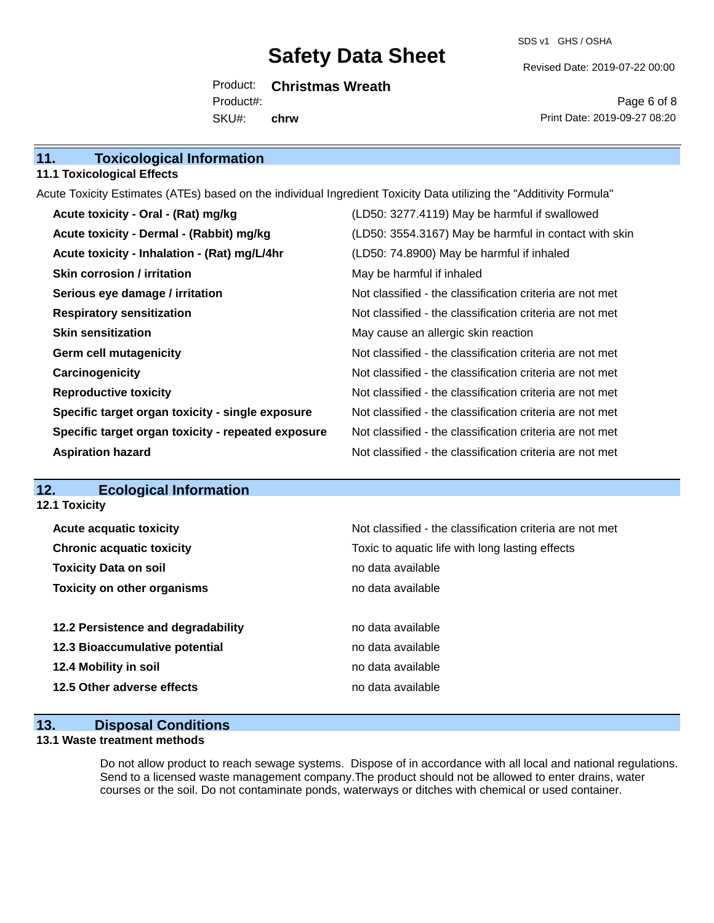SDS v1 GHS / OSHA

Revised Date: 2019-07-22 00:00

Product: **Christmas Wreath** SKU#: Product#: **chrw**

Page 6 of 8 Print Date: 2019-09-27 08:20

| 11.<br><b>Toxicological Information</b> |  |
|-----------------------------------------|--|
|-----------------------------------------|--|

#### **11.1 Toxicological Effects**

Acute Toxicity Estimates (ATEs) based on the individual Ingredient Toxicity Data utilizing the "Additivity Formula"

| Acute toxicity - Oral - (Rat) mg/kg                | (LD50: 3277.4119) May be harmful if swallowed            |
|----------------------------------------------------|----------------------------------------------------------|
| Acute toxicity - Dermal - (Rabbit) mg/kg           | (LD50: 3554.3167) May be harmful in contact with skin    |
| Acute toxicity - Inhalation - (Rat) mg/L/4hr       | (LD50: 74.8900) May be harmful if inhaled                |
| <b>Skin corrosion / irritation</b>                 | May be harmful if inhaled                                |
| Serious eye damage / irritation                    | Not classified - the classification criteria are not met |
| <b>Respiratory sensitization</b>                   | Not classified - the classification criteria are not met |
| <b>Skin sensitization</b>                          | May cause an allergic skin reaction                      |
| <b>Germ cell mutagenicity</b>                      | Not classified - the classification criteria are not met |
| Carcinogenicity                                    | Not classified - the classification criteria are not met |
| <b>Reproductive toxicity</b>                       | Not classified - the classification criteria are not met |
| Specific target organ toxicity - single exposure   | Not classified - the classification criteria are not met |
| Specific target organ toxicity - repeated exposure | Not classified - the classification criteria are not met |
| <b>Aspiration hazard</b>                           | Not classified - the classification criteria are not met |

### **12. Ecological Information**

### **13. Disposal Conditions**

#### **13.1 Waste treatment methods**

Do not allow product to reach sewage systems. Dispose of in accordance with all local and national regulations. Send to a licensed waste management company.The product should not be allowed to enter drains, water courses or the soil. Do not contaminate ponds, waterways or ditches with chemical or used container.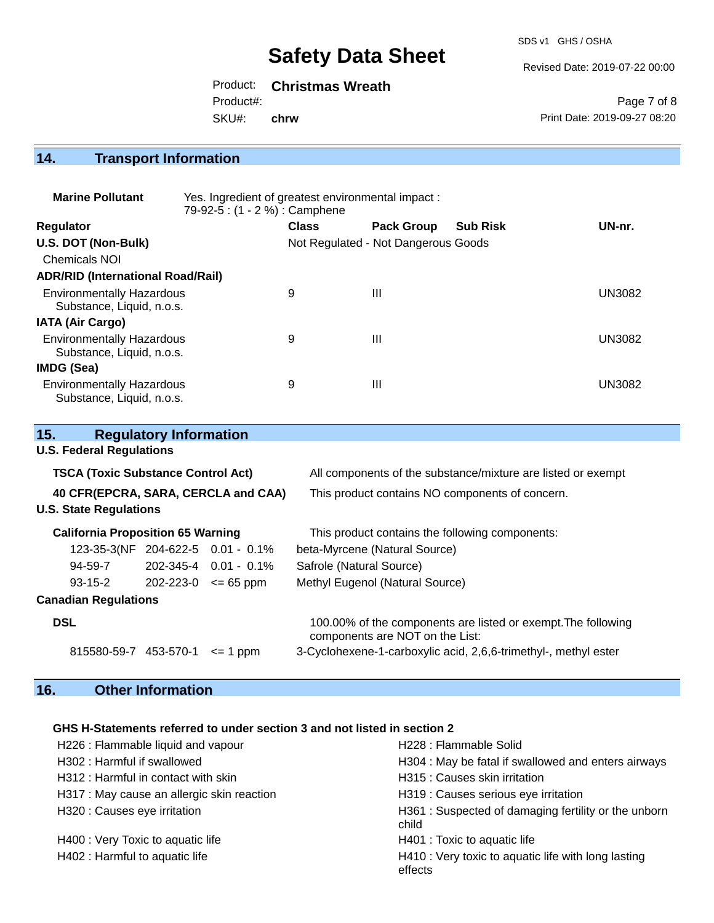SDS v1 GHS / OSHA

Revised Date: 2019-07-22 00:00

Product: **Christmas Wreath**

Product#:

SKU#: **chrw**

Page 7 of 8 Print Date: 2019-09-27 08:20

# **14. Transport Information**

| <b>Marine Pollutant</b>                                       | Yes. Ingredient of greatest environmental impact:<br>79-92-5 : (1 - 2 %) : Camphene |              |                                     |                 |               |
|---------------------------------------------------------------|-------------------------------------------------------------------------------------|--------------|-------------------------------------|-----------------|---------------|
| <b>Regulator</b>                                              |                                                                                     | <b>Class</b> | <b>Pack Group</b>                   | <b>Sub Risk</b> | UN-nr.        |
| U.S. DOT (Non-Bulk)                                           |                                                                                     |              | Not Regulated - Not Dangerous Goods |                 |               |
| Chemicals NOI                                                 |                                                                                     |              |                                     |                 |               |
| <b>ADR/RID (International Road/Rail)</b>                      |                                                                                     |              |                                     |                 |               |
| <b>Environmentally Hazardous</b><br>Substance, Liquid, n.o.s. |                                                                                     | 9            | $\mathbf{III}$                      |                 | <b>UN3082</b> |
| <b>IATA (Air Cargo)</b>                                       |                                                                                     |              |                                     |                 |               |
| <b>Environmentally Hazardous</b><br>Substance, Liquid, n.o.s. |                                                                                     | 9            | Ш                                   |                 | UN3082        |
| <b>IMDG (Sea)</b>                                             |                                                                                     |              |                                     |                 |               |
| <b>Environmentally Hazardous</b><br>Substance, Liquid, n.o.s. |                                                                                     | 9            | Ш                                   |                 | UN3082        |

| 15.                                       | <b>Regulatory Information</b> |                                   |                                                                                                  |  |
|-------------------------------------------|-------------------------------|-----------------------------------|--------------------------------------------------------------------------------------------------|--|
| <b>U.S. Federal Regulations</b>           |                               |                                   |                                                                                                  |  |
| <b>TSCA (Toxic Substance Control Act)</b> |                               |                                   | All components of the substance/mixture are listed or exempt                                     |  |
| 40 CFR(EPCRA, SARA, CERCLA and CAA)       |                               |                                   | This product contains NO components of concern.                                                  |  |
| <b>U.S. State Regulations</b>             |                               |                                   |                                                                                                  |  |
| <b>California Proposition 65 Warning</b>  |                               |                                   | This product contains the following components:                                                  |  |
|                                           |                               | 123-35-3(NF 204-622-5 0.01 - 0.1% | beta-Myrcene (Natural Source)                                                                    |  |
| 94-59-7                                   |                               | $202 - 345 - 4$ 0.01 - 0.1%       | Safrole (Natural Source)                                                                         |  |
| $93 - 15 - 2$                             | $202 - 223 - 0 \leq 65$ ppm   |                                   | Methyl Eugenol (Natural Source)                                                                  |  |
| <b>Canadian Regulations</b>               |                               |                                   |                                                                                                  |  |
| <b>DSL</b>                                |                               |                                   | 100.00% of the components are listed or exempt. The following<br>components are NOT on the List: |  |
| 815580-59-7 453-570-1                     |                               | $\leq$ 1 ppm                      | 3-Cyclohexene-1-carboxylic acid, 2,6,6-trimethyl-, methyl ester                                  |  |

# **16. Other Information**

### **GHS H-Statements referred to under section 3 and not listed in section 2**

| H226 : Flammable liquid and vapour         | H228 : Flammable Solid                                         |
|--------------------------------------------|----------------------------------------------------------------|
| H302: Harmful if swallowed                 | H304 : May be fatal if swallowed and enters airways            |
| H312 : Harmful in contact with skin        | H315 : Causes skin irritation                                  |
| H317 : May cause an allergic skin reaction | H319 : Causes serious eye irritation                           |
| H320 : Causes eye irritation               | H361: Suspected of damaging fertility or the unborn<br>child   |
| H400 : Very Toxic to aquatic life          | H401 : Toxic to aquatic life                                   |
| H402 : Harmful to aquatic life             | H410 : Very toxic to aquatic life with long lasting<br>effects |